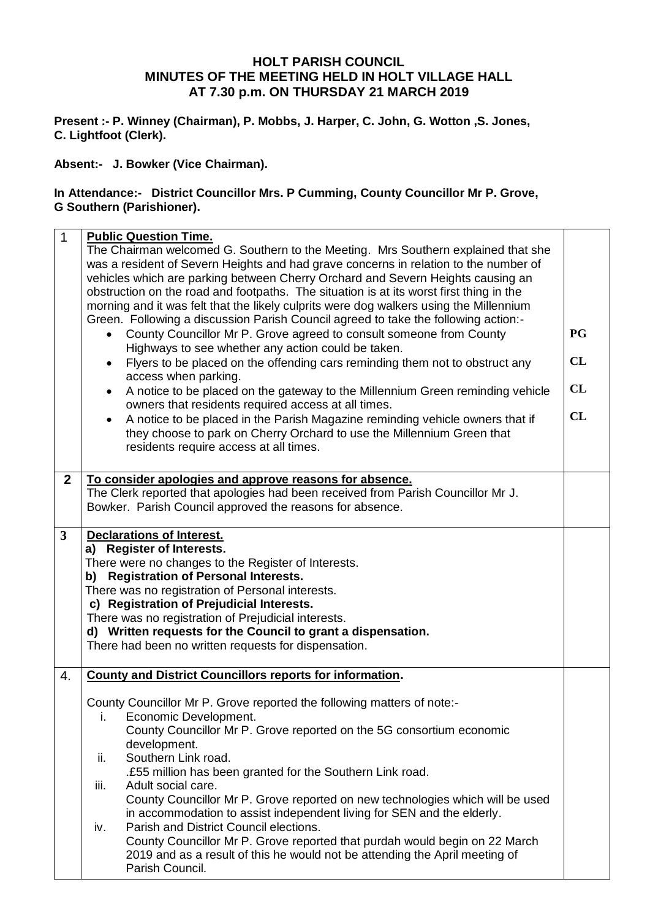## **HOLT PARISH COUNCIL MINUTES OF THE MEETING HELD IN HOLT VILLAGE HALL AT 7.30 p.m. ON THURSDAY 21 MARCH 2019**

**Present :- P. Winney (Chairman), P. Mobbs, J. Harper, C. John, G. Wotton ,S. Jones, C. Lightfoot (Clerk).**

**Absent:- J. Bowker (Vice Chairman).**

## **In Attendance:- District Councillor Mrs. P Cumming, County Councillor Mr P. Grove, G Southern (Parishioner).**

| $\mathbf{1}$   | <b>Public Question Time.</b><br>The Chairman welcomed G. Southern to the Meeting. Mrs Southern explained that she<br>was a resident of Severn Heights and had grave concerns in relation to the number of<br>vehicles which are parking between Cherry Orchard and Severn Heights causing an<br>obstruction on the road and footpaths. The situation is at its worst first thing in the<br>morning and it was felt that the likely culprits were dog walkers using the Millennium<br>Green. Following a discussion Parish Council agreed to take the following action:-<br>County Councillor Mr P. Grove agreed to consult someone from County<br>Highways to see whether any action could be taken.<br>Flyers to be placed on the offending cars reminding them not to obstruct any<br>$\bullet$<br>access when parking.<br>A notice to be placed on the gateway to the Millennium Green reminding vehicle<br>owners that residents required access at all times.<br>A notice to be placed in the Parish Magazine reminding vehicle owners that if<br>$\bullet$<br>they choose to park on Cherry Orchard to use the Millennium Green that<br>residents require access at all times. | <b>PG</b><br>CL<br>CL<br>CL |
|----------------|--------------------------------------------------------------------------------------------------------------------------------------------------------------------------------------------------------------------------------------------------------------------------------------------------------------------------------------------------------------------------------------------------------------------------------------------------------------------------------------------------------------------------------------------------------------------------------------------------------------------------------------------------------------------------------------------------------------------------------------------------------------------------------------------------------------------------------------------------------------------------------------------------------------------------------------------------------------------------------------------------------------------------------------------------------------------------------------------------------------------------------------------------------------------------------------|-----------------------------|
| $\overline{2}$ | To consider apologies and approve reasons for absence.                                                                                                                                                                                                                                                                                                                                                                                                                                                                                                                                                                                                                                                                                                                                                                                                                                                                                                                                                                                                                                                                                                                               |                             |
|                | The Clerk reported that apologies had been received from Parish Councillor Mr J.<br>Bowker. Parish Council approved the reasons for absence.                                                                                                                                                                                                                                                                                                                                                                                                                                                                                                                                                                                                                                                                                                                                                                                                                                                                                                                                                                                                                                         |                             |
| 3              | <b>Declarations of Interest.</b>                                                                                                                                                                                                                                                                                                                                                                                                                                                                                                                                                                                                                                                                                                                                                                                                                                                                                                                                                                                                                                                                                                                                                     |                             |
|                | a) Register of Interests.                                                                                                                                                                                                                                                                                                                                                                                                                                                                                                                                                                                                                                                                                                                                                                                                                                                                                                                                                                                                                                                                                                                                                            |                             |
|                | There were no changes to the Register of Interests.                                                                                                                                                                                                                                                                                                                                                                                                                                                                                                                                                                                                                                                                                                                                                                                                                                                                                                                                                                                                                                                                                                                                  |                             |
|                | <b>Registration of Personal Interests.</b><br>b)                                                                                                                                                                                                                                                                                                                                                                                                                                                                                                                                                                                                                                                                                                                                                                                                                                                                                                                                                                                                                                                                                                                                     |                             |
|                | There was no registration of Personal interests.                                                                                                                                                                                                                                                                                                                                                                                                                                                                                                                                                                                                                                                                                                                                                                                                                                                                                                                                                                                                                                                                                                                                     |                             |
|                | c) Registration of Prejudicial Interests.                                                                                                                                                                                                                                                                                                                                                                                                                                                                                                                                                                                                                                                                                                                                                                                                                                                                                                                                                                                                                                                                                                                                            |                             |
|                | There was no registration of Prejudicial interests.<br>d) Written requests for the Council to grant a dispensation.                                                                                                                                                                                                                                                                                                                                                                                                                                                                                                                                                                                                                                                                                                                                                                                                                                                                                                                                                                                                                                                                  |                             |
|                | There had been no written requests for dispensation.                                                                                                                                                                                                                                                                                                                                                                                                                                                                                                                                                                                                                                                                                                                                                                                                                                                                                                                                                                                                                                                                                                                                 |                             |
|                |                                                                                                                                                                                                                                                                                                                                                                                                                                                                                                                                                                                                                                                                                                                                                                                                                                                                                                                                                                                                                                                                                                                                                                                      |                             |
| 4.             | <b>County and District Councillors reports for information.</b>                                                                                                                                                                                                                                                                                                                                                                                                                                                                                                                                                                                                                                                                                                                                                                                                                                                                                                                                                                                                                                                                                                                      |                             |
|                | County Councillor Mr P. Grove reported the following matters of note:-                                                                                                                                                                                                                                                                                                                                                                                                                                                                                                                                                                                                                                                                                                                                                                                                                                                                                                                                                                                                                                                                                                               |                             |
|                | Economic Development.<br>i.                                                                                                                                                                                                                                                                                                                                                                                                                                                                                                                                                                                                                                                                                                                                                                                                                                                                                                                                                                                                                                                                                                                                                          |                             |
|                | County Councillor Mr P. Grove reported on the 5G consortium economic                                                                                                                                                                                                                                                                                                                                                                                                                                                                                                                                                                                                                                                                                                                                                                                                                                                                                                                                                                                                                                                                                                                 |                             |
|                | development.                                                                                                                                                                                                                                                                                                                                                                                                                                                                                                                                                                                                                                                                                                                                                                                                                                                                                                                                                                                                                                                                                                                                                                         |                             |
|                | Southern Link road.<br>ii.                                                                                                                                                                                                                                                                                                                                                                                                                                                                                                                                                                                                                                                                                                                                                                                                                                                                                                                                                                                                                                                                                                                                                           |                             |
|                | .£55 million has been granted for the Southern Link road.<br>Adult social care.                                                                                                                                                                                                                                                                                                                                                                                                                                                                                                                                                                                                                                                                                                                                                                                                                                                                                                                                                                                                                                                                                                      |                             |
|                | iii.<br>County Councillor Mr P. Grove reported on new technologies which will be used                                                                                                                                                                                                                                                                                                                                                                                                                                                                                                                                                                                                                                                                                                                                                                                                                                                                                                                                                                                                                                                                                                |                             |
|                | in accommodation to assist independent living for SEN and the elderly.                                                                                                                                                                                                                                                                                                                                                                                                                                                                                                                                                                                                                                                                                                                                                                                                                                                                                                                                                                                                                                                                                                               |                             |
|                | Parish and District Council elections.<br>iv.                                                                                                                                                                                                                                                                                                                                                                                                                                                                                                                                                                                                                                                                                                                                                                                                                                                                                                                                                                                                                                                                                                                                        |                             |
|                | County Councillor Mr P. Grove reported that purdah would begin on 22 March                                                                                                                                                                                                                                                                                                                                                                                                                                                                                                                                                                                                                                                                                                                                                                                                                                                                                                                                                                                                                                                                                                           |                             |
|                | 2019 and as a result of this he would not be attending the April meeting of                                                                                                                                                                                                                                                                                                                                                                                                                                                                                                                                                                                                                                                                                                                                                                                                                                                                                                                                                                                                                                                                                                          |                             |
|                | Parish Council.                                                                                                                                                                                                                                                                                                                                                                                                                                                                                                                                                                                                                                                                                                                                                                                                                                                                                                                                                                                                                                                                                                                                                                      |                             |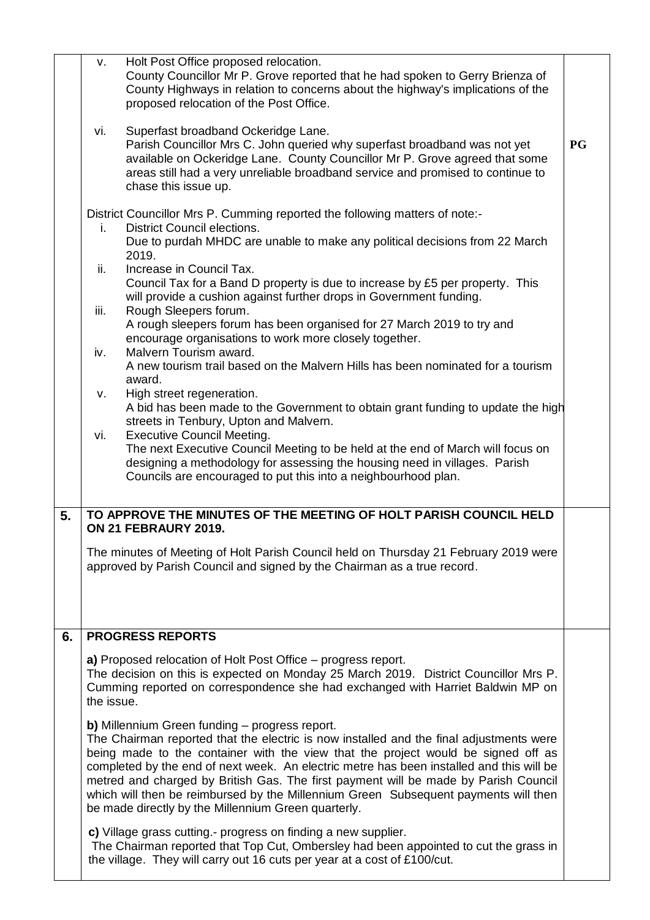|    | V.                                                                                                                                                                                                                                                                                                                                                                                                                                                                                                                                                                     | Holt Post Office proposed relocation.<br>County Councillor Mr P. Grove reported that he had spoken to Gerry Brienza of<br>County Highways in relation to concerns about the highway's implications of the<br>proposed relocation of the Post Office.                                                       |           |  |  |  |
|----|------------------------------------------------------------------------------------------------------------------------------------------------------------------------------------------------------------------------------------------------------------------------------------------------------------------------------------------------------------------------------------------------------------------------------------------------------------------------------------------------------------------------------------------------------------------------|------------------------------------------------------------------------------------------------------------------------------------------------------------------------------------------------------------------------------------------------------------------------------------------------------------|-----------|--|--|--|
|    | vi.                                                                                                                                                                                                                                                                                                                                                                                                                                                                                                                                                                    | Superfast broadband Ockeridge Lane.<br>Parish Councillor Mrs C. John queried why superfast broadband was not yet<br>available on Ockeridge Lane. County Councillor Mr P. Grove agreed that some<br>areas still had a very unreliable broadband service and promised to continue to<br>chase this issue up. | <b>PG</b> |  |  |  |
|    | i.                                                                                                                                                                                                                                                                                                                                                                                                                                                                                                                                                                     | District Councillor Mrs P. Cumming reported the following matters of note:-<br><b>District Council elections.</b><br>Due to purdah MHDC are unable to make any political decisions from 22 March<br>2019.                                                                                                  |           |  |  |  |
|    | ii.                                                                                                                                                                                                                                                                                                                                                                                                                                                                                                                                                                    | Increase in Council Tax.<br>Council Tax for a Band D property is due to increase by £5 per property. This<br>will provide a cushion against further drops in Government funding.                                                                                                                           |           |  |  |  |
|    | iii.                                                                                                                                                                                                                                                                                                                                                                                                                                                                                                                                                                   | Rough Sleepers forum.<br>A rough sleepers forum has been organised for 27 March 2019 to try and<br>encourage organisations to work more closely together.                                                                                                                                                  |           |  |  |  |
|    | iv.                                                                                                                                                                                                                                                                                                                                                                                                                                                                                                                                                                    | Malvern Tourism award.<br>A new tourism trail based on the Malvern Hills has been nominated for a tourism<br>award.<br>High street regeneration.                                                                                                                                                           |           |  |  |  |
|    | v.<br>vi.                                                                                                                                                                                                                                                                                                                                                                                                                                                                                                                                                              | A bid has been made to the Government to obtain grant funding to update the high<br>streets in Tenbury, Upton and Malvern.<br><b>Executive Council Meeting.</b>                                                                                                                                            |           |  |  |  |
|    |                                                                                                                                                                                                                                                                                                                                                                                                                                                                                                                                                                        | The next Executive Council Meeting to be held at the end of March will focus on<br>designing a methodology for assessing the housing need in villages. Parish<br>Councils are encouraged to put this into a neighbourhood plan.                                                                            |           |  |  |  |
| 5. |                                                                                                                                                                                                                                                                                                                                                                                                                                                                                                                                                                        | TO APPROVE THE MINUTES OF THE MEETING OF HOLT PARISH COUNCIL HELD<br>ON 21 FEBRAURY 2019.                                                                                                                                                                                                                  |           |  |  |  |
|    |                                                                                                                                                                                                                                                                                                                                                                                                                                                                                                                                                                        | The minutes of Meeting of Holt Parish Council held on Thursday 21 February 2019 were<br>approved by Parish Council and signed by the Chairman as a true record.                                                                                                                                            |           |  |  |  |
| 6. |                                                                                                                                                                                                                                                                                                                                                                                                                                                                                                                                                                        | <b>PROGRESS REPORTS</b>                                                                                                                                                                                                                                                                                    |           |  |  |  |
|    | the issue.                                                                                                                                                                                                                                                                                                                                                                                                                                                                                                                                                             | a) Proposed relocation of Holt Post Office – progress report.<br>The decision on this is expected on Monday 25 March 2019. District Councillor Mrs P.<br>Cumming reported on correspondence she had exchanged with Harriet Baldwin MP on                                                                   |           |  |  |  |
|    | <b>b)</b> Millennium Green funding – progress report.<br>The Chairman reported that the electric is now installed and the final adjustments were<br>being made to the container with the view that the project would be signed off as<br>completed by the end of next week. An electric metre has been installed and this will be<br>metred and charged by British Gas. The first payment will be made by Parish Council<br>which will then be reimbursed by the Millennium Green Subsequent payments will then<br>be made directly by the Millennium Green quarterly. |                                                                                                                                                                                                                                                                                                            |           |  |  |  |
|    |                                                                                                                                                                                                                                                                                                                                                                                                                                                                                                                                                                        |                                                                                                                                                                                                                                                                                                            |           |  |  |  |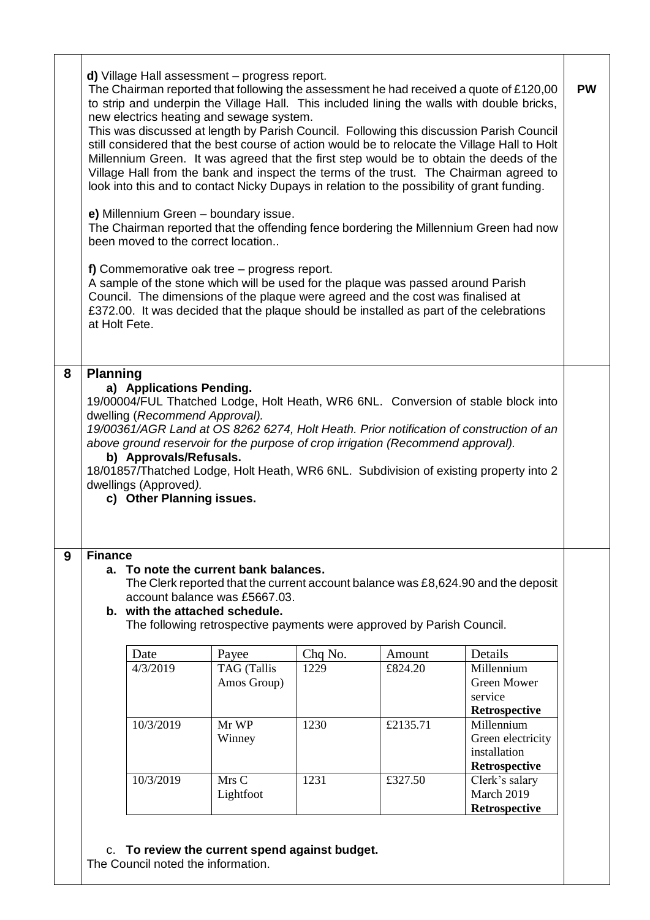| d) Village Hall assessment - progress report.<br>The Chairman reported that following the assessment he had received a quote of £120,00<br>to strip and underpin the Village Hall. This included lining the walls with double bricks,<br>new electrics heating and sewage system.<br>This was discussed at length by Parish Council. Following this discussion Parish Council<br>still considered that the best course of action would be to relocate the Village Hall to Holt<br>Millennium Green. It was agreed that the first step would be to obtain the deeds of the<br>Village Hall from the bank and inspect the terms of the trust. The Chairman agreed to<br>look into this and to contact Nicky Dupays in relation to the possibility of grant funding. |                                                                                                                |                                                                                                                                                                                                                       |                 |                   |                                                                                                                                                                                                                                                                       | <b>PW</b> |
|-------------------------------------------------------------------------------------------------------------------------------------------------------------------------------------------------------------------------------------------------------------------------------------------------------------------------------------------------------------------------------------------------------------------------------------------------------------------------------------------------------------------------------------------------------------------------------------------------------------------------------------------------------------------------------------------------------------------------------------------------------------------|----------------------------------------------------------------------------------------------------------------|-----------------------------------------------------------------------------------------------------------------------------------------------------------------------------------------------------------------------|-----------------|-------------------|-----------------------------------------------------------------------------------------------------------------------------------------------------------------------------------------------------------------------------------------------------------------------|-----------|
|                                                                                                                                                                                                                                                                                                                                                                                                                                                                                                                                                                                                                                                                                                                                                                   | been moved to the correct location                                                                             | e) Millennium Green - boundary issue.                                                                                                                                                                                 |                 |                   | The Chairman reported that the offending fence bordering the Millennium Green had now                                                                                                                                                                                 |           |
|                                                                                                                                                                                                                                                                                                                                                                                                                                                                                                                                                                                                                                                                                                                                                                   | at Holt Fete.                                                                                                  | f) Commemorative oak tree $-$ progress report.<br>A sample of the stone which will be used for the plaque was passed around Parish<br>Council. The dimensions of the plaque were agreed and the cost was finalised at |                 |                   | £372.00. It was decided that the plaque should be installed as part of the celebrations                                                                                                                                                                               |           |
|                                                                                                                                                                                                                                                                                                                                                                                                                                                                                                                                                                                                                                                                                                                                                                   | a) Applications Pending.                                                                                       |                                                                                                                                                                                                                       |                 |                   | 19/00004/FUL Thatched Lodge, Holt Heath, WR6 6NL. Conversion of stable block into                                                                                                                                                                                     |           |
| <b>Finance</b><br>9                                                                                                                                                                                                                                                                                                                                                                                                                                                                                                                                                                                                                                                                                                                                               | dwelling (Recommend Approval).<br>b) Approvals/Refusals.<br>dwellings (Approved).<br>c) Other Planning issues. | above ground reservoir for the purpose of crop irrigation (Recommend approval).<br>a. To note the current bank balances.<br>account balance was £5667.03.                                                             |                 |                   | 19/00361/AGR Land at OS 8262 6274, Holt Heath. Prior notification of construction of an<br>18/01857/Thatched Lodge, Holt Heath, WR6 6NL. Subdivision of existing property into 2<br>The Clerk reported that the current account balance was £8,624.90 and the deposit |           |
|                                                                                                                                                                                                                                                                                                                                                                                                                                                                                                                                                                                                                                                                                                                                                                   |                                                                                                                | b. with the attached schedule.<br>The following retrospective payments were approved by Parish Council.                                                                                                               |                 |                   |                                                                                                                                                                                                                                                                       |           |
|                                                                                                                                                                                                                                                                                                                                                                                                                                                                                                                                                                                                                                                                                                                                                                   | Date<br>4/3/2019                                                                                               | Payee<br><b>TAG</b> (Tallis<br>Amos Group)                                                                                                                                                                            | Chq No.<br>1229 | Amount<br>£824.20 | Details<br>Millennium<br><b>Green Mower</b><br>service                                                                                                                                                                                                                |           |
|                                                                                                                                                                                                                                                                                                                                                                                                                                                                                                                                                                                                                                                                                                                                                                   | 10/3/2019                                                                                                      | Mr WP<br>Winney                                                                                                                                                                                                       | 1230            | £2135.71          | Retrospective<br>Millennium<br>Green electricity<br>installation<br>Retrospective                                                                                                                                                                                     |           |